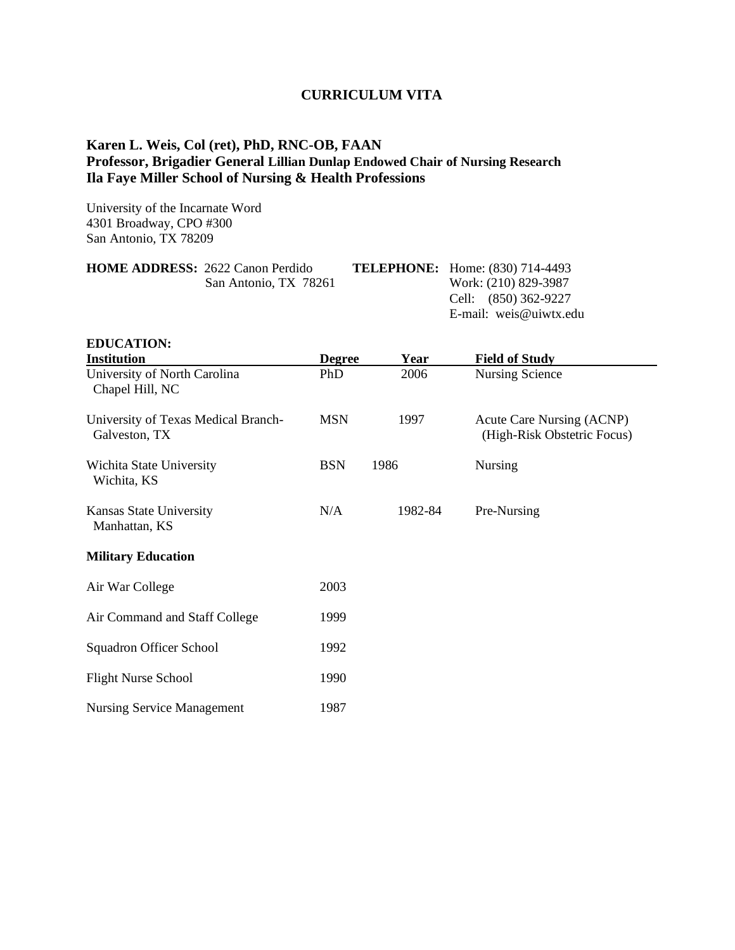## **CURRICULUM VITA**

## **Karen L. Weis, Col (ret), PhD, RNC-OB, FAAN Professor, Brigadier General Lillian Dunlap Endowed Chair of Nursing Research Ila Faye Miller School of Nursing & Health Professions**

University of the Incarnate Word 4301 Broadway, CPO #300 San Antonio, TX 78209

| <b>HOME ADDRESS: 2622 Canon Perdido</b> | <b>TELEPHONE:</b> Home: (830) 714-4493 |
|-----------------------------------------|----------------------------------------|
| San Antonio, TX 78261                   | Work: (210) 829-3987                   |
|                                         | Cell: (850) 362-9227                   |
|                                         | E-mail: weis@uiwtx.edu                 |
|                                         |                                        |

| <b>EDUCATION:</b>                                    |               |         |                                                                 |
|------------------------------------------------------|---------------|---------|-----------------------------------------------------------------|
| <b>Institution</b>                                   | <b>Degree</b> | Year    | <b>Field of Study</b>                                           |
| University of North Carolina<br>Chapel Hill, NC      | PhD           | 2006    | <b>Nursing Science</b>                                          |
| University of Texas Medical Branch-<br>Galveston, TX | <b>MSN</b>    | 1997    | <b>Acute Care Nursing (ACNP)</b><br>(High-Risk Obstetric Focus) |
| Wichita State University<br>Wichita, KS              | <b>BSN</b>    | 1986    | <b>Nursing</b>                                                  |
| Kansas State University<br>Manhattan, KS             | N/A           | 1982-84 | Pre-Nursing                                                     |
| <b>Military Education</b>                            |               |         |                                                                 |
| Air War College                                      | 2003          |         |                                                                 |
| Air Command and Staff College                        | 1999          |         |                                                                 |
| <b>Squadron Officer School</b>                       | 1992          |         |                                                                 |
| <b>Flight Nurse School</b>                           | 1990          |         |                                                                 |
| <b>Nursing Service Management</b>                    | 1987          |         |                                                                 |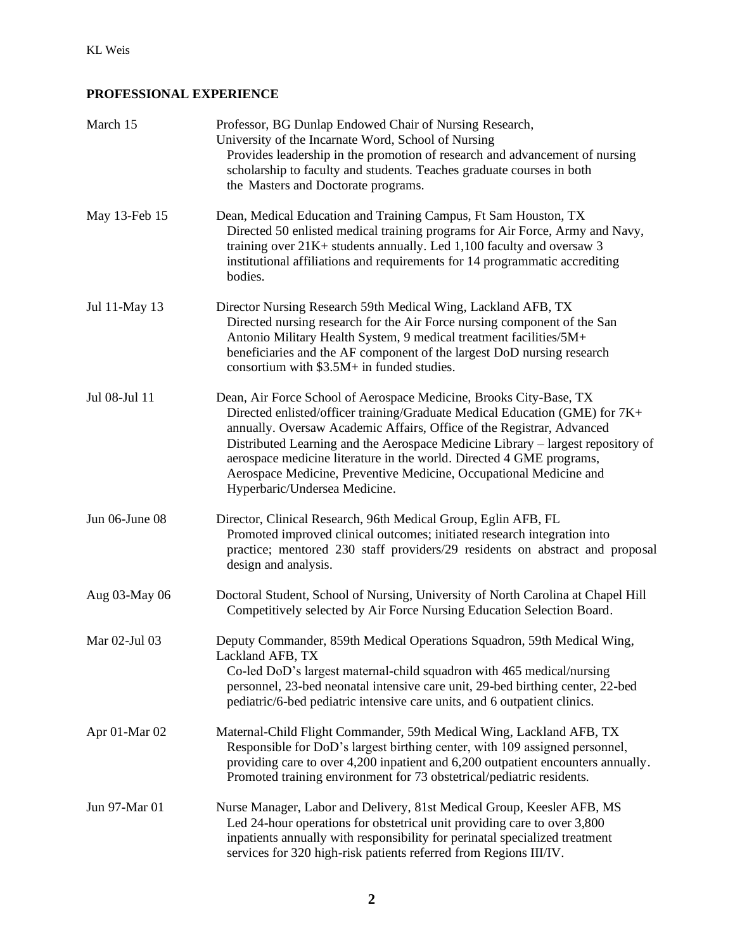## **PROFESSIONAL EXPERIENCE**

| March 15       | Professor, BG Dunlap Endowed Chair of Nursing Research,<br>University of the Incarnate Word, School of Nursing<br>Provides leadership in the promotion of research and advancement of nursing<br>scholarship to faculty and students. Teaches graduate courses in both<br>the Masters and Doctorate programs.                                                                                                                                                                                |
|----------------|----------------------------------------------------------------------------------------------------------------------------------------------------------------------------------------------------------------------------------------------------------------------------------------------------------------------------------------------------------------------------------------------------------------------------------------------------------------------------------------------|
| May 13-Feb 15  | Dean, Medical Education and Training Campus, Ft Sam Houston, TX<br>Directed 50 enlisted medical training programs for Air Force, Army and Navy,<br>training over $21K +$ students annually. Led 1,100 faculty and oversaw 3<br>institutional affiliations and requirements for 14 programmatic accrediting<br>bodies.                                                                                                                                                                        |
| Jul 11-May 13  | Director Nursing Research 59th Medical Wing, Lackland AFB, TX<br>Directed nursing research for the Air Force nursing component of the San<br>Antonio Military Health System, 9 medical treatment facilities/5M+<br>beneficiaries and the AF component of the largest DoD nursing research<br>consortium with $$3.5M+$ in funded studies.                                                                                                                                                     |
| Jul 08-Jul 11  | Dean, Air Force School of Aerospace Medicine, Brooks City-Base, TX<br>Directed enlisted/officer training/Graduate Medical Education (GME) for 7K+<br>annually. Oversaw Academic Affairs, Office of the Registrar, Advanced<br>Distributed Learning and the Aerospace Medicine Library – largest repository of<br>aerospace medicine literature in the world. Directed 4 GME programs,<br>Aerospace Medicine, Preventive Medicine, Occupational Medicine and<br>Hyperbaric/Undersea Medicine. |
| Jun 06-June 08 | Director, Clinical Research, 96th Medical Group, Eglin AFB, FL<br>Promoted improved clinical outcomes; initiated research integration into<br>practice; mentored 230 staff providers/29 residents on abstract and proposal<br>design and analysis.                                                                                                                                                                                                                                           |
| Aug 03-May 06  | Doctoral Student, School of Nursing, University of North Carolina at Chapel Hill<br>Competitively selected by Air Force Nursing Education Selection Board.                                                                                                                                                                                                                                                                                                                                   |
| Mar 02-Jul 03  | Deputy Commander, 859th Medical Operations Squadron, 59th Medical Wing,<br>Lackland AFB, TX<br>Co-led DoD's largest maternal-child squadron with 465 medical/nursing<br>personnel, 23-bed neonatal intensive care unit, 29-bed birthing center, 22-bed<br>pediatric/6-bed pediatric intensive care units, and 6 outpatient clinics.                                                                                                                                                          |
| Apr 01-Mar 02  | Maternal-Child Flight Commander, 59th Medical Wing, Lackland AFB, TX<br>Responsible for DoD's largest birthing center, with 109 assigned personnel,<br>providing care to over 4,200 inpatient and 6,200 outpatient encounters annually.<br>Promoted training environment for 73 obstetrical/pediatric residents.                                                                                                                                                                             |
| Jun 97-Mar 01  | Nurse Manager, Labor and Delivery, 81st Medical Group, Keesler AFB, MS<br>Led 24-hour operations for obstetrical unit providing care to over 3,800<br>inpatients annually with responsibility for perinatal specialized treatment<br>services for 320 high-risk patients referred from Regions III/IV.                                                                                                                                                                                       |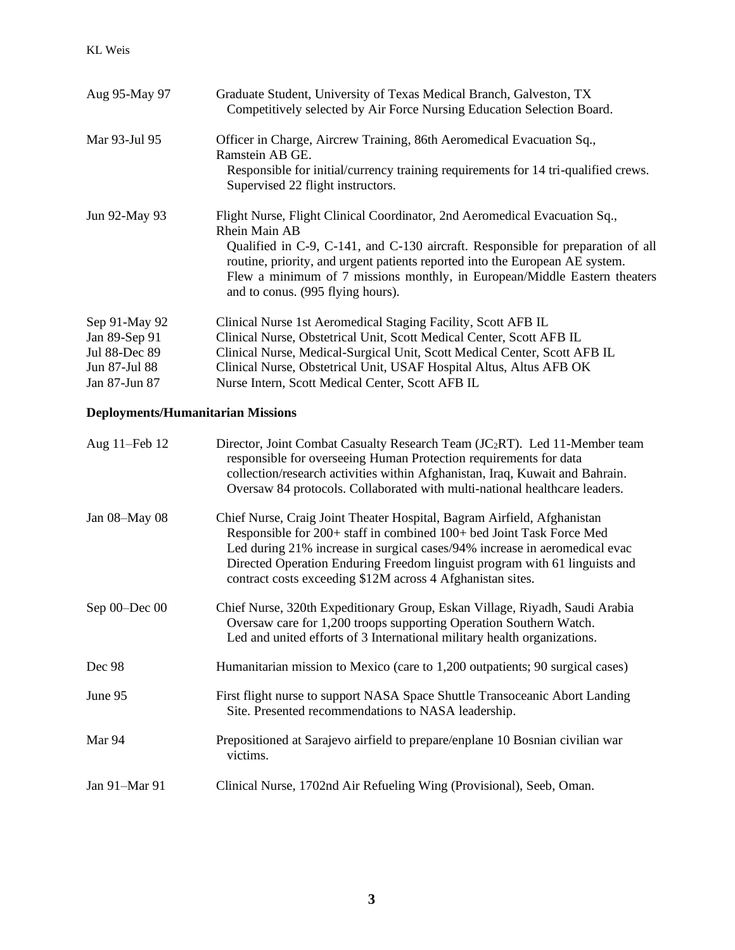| Aug 95-May 97                                                    | Graduate Student, University of Texas Medical Branch, Galveston, TX<br>Competitively selected by Air Force Nursing Education Selection Board.                                                                                                                                                                                                                                    |
|------------------------------------------------------------------|----------------------------------------------------------------------------------------------------------------------------------------------------------------------------------------------------------------------------------------------------------------------------------------------------------------------------------------------------------------------------------|
| Mar 93-Jul 95                                                    | Officer in Charge, Aircrew Training, 86th Aeromedical Evacuation Sq.,<br>Ramstein AB GE.<br>Responsible for initial/currency training requirements for 14 tri-qualified crews.<br>Supervised 22 flight instructors.                                                                                                                                                              |
| Jun 92-May 93                                                    | Flight Nurse, Flight Clinical Coordinator, 2nd Aeromedical Evacuation Sq.,<br>Rhein Main AB<br>Qualified in C-9, C-141, and C-130 aircraft. Responsible for preparation of all<br>routine, priority, and urgent patients reported into the European AE system.<br>Flew a minimum of 7 missions monthly, in European/Middle Eastern theaters<br>and to conus. (995 flying hours). |
| Sep 91-May 92<br>Jan 89-Sep 91<br>Jul 88-Dec 89<br>Jun 87-Jul 88 | Clinical Nurse 1st Aeromedical Staging Facility, Scott AFB IL<br>Clinical Nurse, Obstetrical Unit, Scott Medical Center, Scott AFB IL<br>Clinical Nurse, Medical-Surgical Unit, Scott Medical Center, Scott AFB IL<br>Clinical Nurse, Obstetrical Unit, USAF Hospital Altus, Altus AFB OK                                                                                        |
| Jan 87-Jun 87                                                    | Nurse Intern, Scott Medical Center, Scott AFB IL                                                                                                                                                                                                                                                                                                                                 |

# **Deployments/Humanitarian Missions**

| Aug 11–Feb 12     | Director, Joint Combat Casualty Research Team (JC <sub>2</sub> RT). Led 11-Member team<br>responsible for overseeing Human Protection requirements for data<br>collection/research activities within Afghanistan, Iraq, Kuwait and Bahrain.<br>Oversaw 84 protocols. Collaborated with multi-national healthcare leaders.                                                 |
|-------------------|---------------------------------------------------------------------------------------------------------------------------------------------------------------------------------------------------------------------------------------------------------------------------------------------------------------------------------------------------------------------------|
| Jan 08-May 08     | Chief Nurse, Craig Joint Theater Hospital, Bagram Airfield, Afghanistan<br>Responsible for 200+ staff in combined 100+ bed Joint Task Force Med<br>Led during 21% increase in surgical cases/94% increase in aeromedical evac<br>Directed Operation Enduring Freedom linguist program with 61 linguists and<br>contract costs exceeding \$12M across 4 Afghanistan sites. |
| Sep $00 - Dec$ 00 | Chief Nurse, 320th Expeditionary Group, Eskan Village, Riyadh, Saudi Arabia<br>Oversaw care for 1,200 troops supporting Operation Southern Watch.<br>Led and united efforts of 3 International military health organizations.                                                                                                                                             |
| Dec 98            | Humanitarian mission to Mexico (care to 1,200 outpatients; 90 surgical cases)                                                                                                                                                                                                                                                                                             |
| June 95           | First flight nurse to support NASA Space Shuttle Transoceanic Abort Landing<br>Site. Presented recommendations to NASA leadership.                                                                                                                                                                                                                                        |
| Mar 94            | Prepositioned at Sarajevo airfield to prepare/enplane 10 Bosnian civilian war<br>victims.                                                                                                                                                                                                                                                                                 |
| Jan 91-Mar 91     | Clinical Nurse, 1702nd Air Refueling Wing (Provisional), Seeb, Oman.                                                                                                                                                                                                                                                                                                      |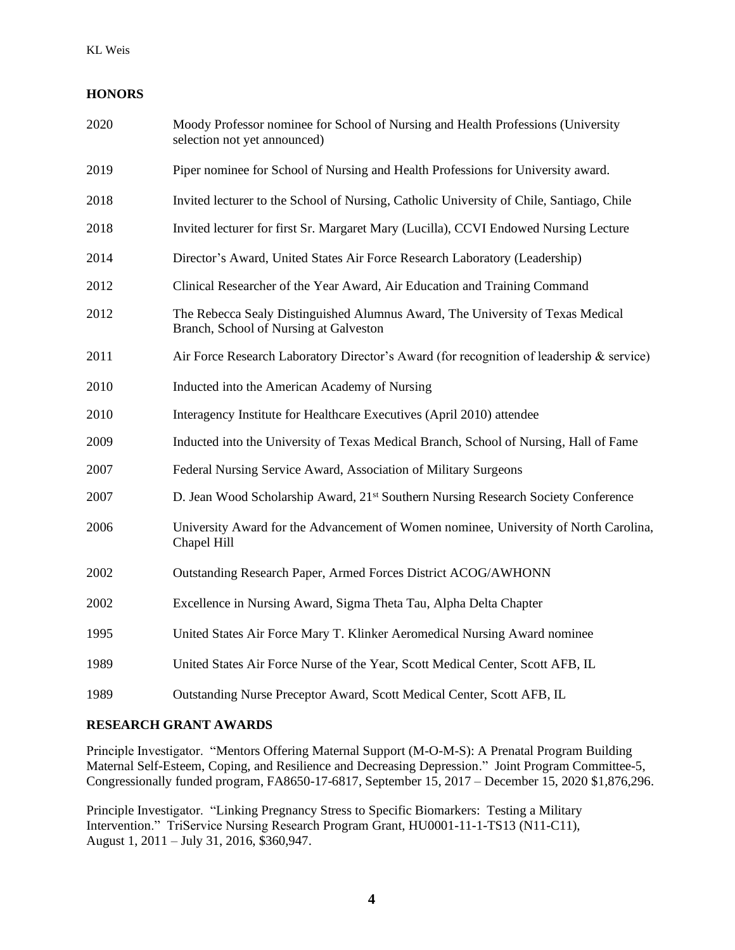## **HONORS**

| 2020 | Moody Professor nominee for School of Nursing and Health Professions (University<br>selection not yet announced)         |
|------|--------------------------------------------------------------------------------------------------------------------------|
| 2019 | Piper nominee for School of Nursing and Health Professions for University award.                                         |
| 2018 | Invited lecturer to the School of Nursing, Catholic University of Chile, Santiago, Chile                                 |
| 2018 | Invited lecturer for first Sr. Margaret Mary (Lucilla), CCVI Endowed Nursing Lecture                                     |
| 2014 | Director's Award, United States Air Force Research Laboratory (Leadership)                                               |
| 2012 | Clinical Researcher of the Year Award, Air Education and Training Command                                                |
| 2012 | The Rebecca Sealy Distinguished Alumnus Award, The University of Texas Medical<br>Branch, School of Nursing at Galveston |
| 2011 | Air Force Research Laboratory Director's Award (for recognition of leadership & service)                                 |
| 2010 | Inducted into the American Academy of Nursing                                                                            |
| 2010 | Interagency Institute for Healthcare Executives (April 2010) attendee                                                    |
| 2009 | Inducted into the University of Texas Medical Branch, School of Nursing, Hall of Fame                                    |
| 2007 | Federal Nursing Service Award, Association of Military Surgeons                                                          |
| 2007 | D. Jean Wood Scholarship Award, 21 <sup>st</sup> Southern Nursing Research Society Conference                            |
| 2006 | University Award for the Advancement of Women nominee, University of North Carolina,<br>Chapel Hill                      |
| 2002 | Outstanding Research Paper, Armed Forces District ACOG/AWHONN                                                            |
| 2002 | Excellence in Nursing Award, Sigma Theta Tau, Alpha Delta Chapter                                                        |
| 1995 | United States Air Force Mary T. Klinker Aeromedical Nursing Award nominee                                                |
| 1989 | United States Air Force Nurse of the Year, Scott Medical Center, Scott AFB, IL                                           |
| 1989 | Outstanding Nurse Preceptor Award, Scott Medical Center, Scott AFB, IL                                                   |

#### **RESEARCH GRANT AWARDS**

Principle Investigator. "Mentors Offering Maternal Support (M-O-M-S): A Prenatal Program Building Maternal Self-Esteem, Coping, and Resilience and Decreasing Depression." Joint Program Committee-5, Congressionally funded program, FA8650-17-6817, September 15, 2017 – December 15, 2020 \$1,876,296.

Principle Investigator. "Linking Pregnancy Stress to Specific Biomarkers: Testing a Military Intervention." TriService Nursing Research Program Grant, HU0001-11-1-TS13 (N11-C11), August 1, 2011 – July 31, 2016, \$360,947.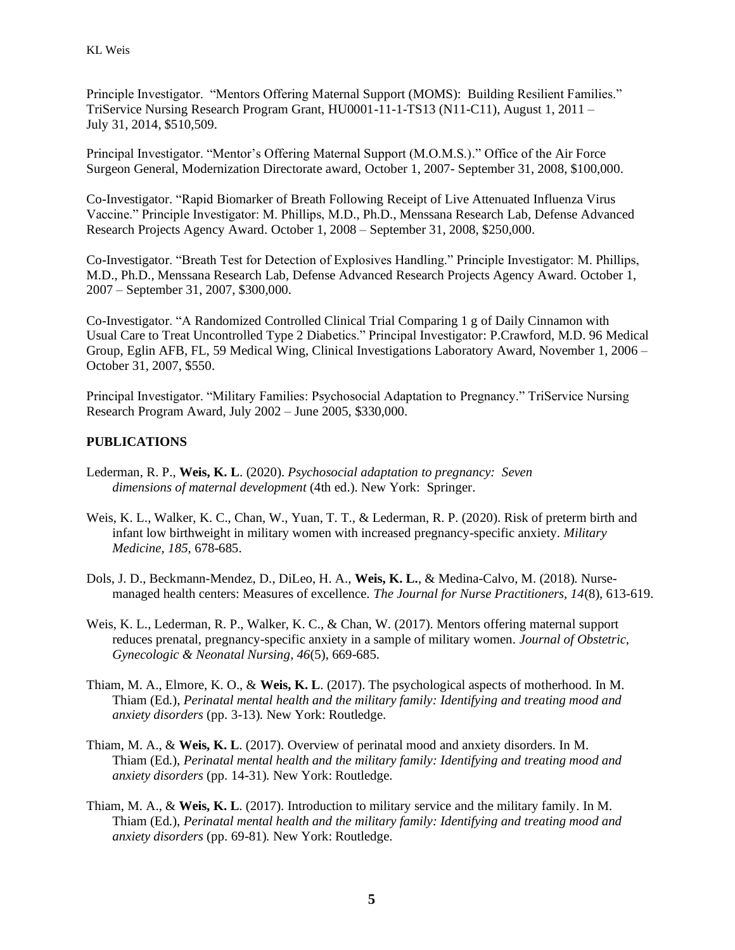Principle Investigator. "Mentors Offering Maternal Support (MOMS): Building Resilient Families." TriService Nursing Research Program Grant, HU0001-11-1-TS13 (N11-C11), August 1, 2011 – July 31, 2014, \$510,509.

Principal Investigator. "Mentor's Offering Maternal Support (M.O.M.S.)." Office of the Air Force Surgeon General, Modernization Directorate award, October 1, 2007- September 31, 2008, \$100,000.

Co-Investigator. "Rapid Biomarker of Breath Following Receipt of Live Attenuated Influenza Virus Vaccine." Principle Investigator: M. Phillips, M.D., Ph.D., Menssana Research Lab, Defense Advanced Research Projects Agency Award. October 1, 2008 – September 31, 2008, \$250,000.

Co-Investigator. "Breath Test for Detection of Explosives Handling." Principle Investigator: M. Phillips, M.D., Ph.D., Menssana Research Lab, Defense Advanced Research Projects Agency Award. October 1, 2007 – September 31, 2007, \$300,000.

Co-Investigator. "A Randomized Controlled Clinical Trial Comparing 1 g of Daily Cinnamon with Usual Care to Treat Uncontrolled Type 2 Diabetics." Principal Investigator: P.Crawford, M.D. 96 Medical Group, Eglin AFB, FL, 59 Medical Wing, Clinical Investigations Laboratory Award, November 1, 2006 – October 31, 2007, \$550.

Principal Investigator. "Military Families: Psychosocial Adaptation to Pregnancy." TriService Nursing Research Program Award, July 2002 – June 2005, \$330,000.

## **PUBLICATIONS**

- Lederman, R. P., **Weis, K. L**. (2020). *Psychosocial adaptation to pregnancy: Seven dimensions of maternal development* (4th ed.). New York: Springer.
- Weis, K. L., Walker, K. C., Chan, W., Yuan, T. T., & Lederman, R. P. (2020). Risk of preterm birth and infant low birthweight in military women with increased pregnancy-specific anxiety. *Military Medicine, 185,* 678-685.
- Dols, J. D., Beckmann-Mendez, D., DiLeo, H. A., **Weis, K. L.**, & Medina-Calvo, M. (2018). Nursemanaged health centers: Measures of excellence. *The Journal for Nurse Practitioners, 14*(8), 613-619.
- Weis, K. L., Lederman, R. P., Walker, K. C., & Chan, W. (2017). Mentors offering maternal support reduces prenatal, pregnancy-specific anxiety in a sample of military women. *Journal of Obstetric, Gynecologic & Neonatal Nursing, 46*(5), 669-685.
- Thiam, M. A., Elmore, K. O., & **Weis, K. L**. (2017). The psychological aspects of motherhood. In M. Thiam (Ed.), *Perinatal mental health and the military family: Identifying and treating mood and anxiety disorders* (pp. 3-13)*.* New York: Routledge.
- Thiam, M. A., & **Weis, K. L**. (2017). Overview of perinatal mood and anxiety disorders. In M. Thiam (Ed.), *Perinatal mental health and the military family: Identifying and treating mood and anxiety disorders* (pp. 14-31)*.* New York: Routledge.
- Thiam, M. A., & **Weis, K. L**. (2017). Introduction to military service and the military family. In M. Thiam (Ed.), *Perinatal mental health and the military family: Identifying and treating mood and anxiety disorders* (pp. 69-81)*.* New York: Routledge.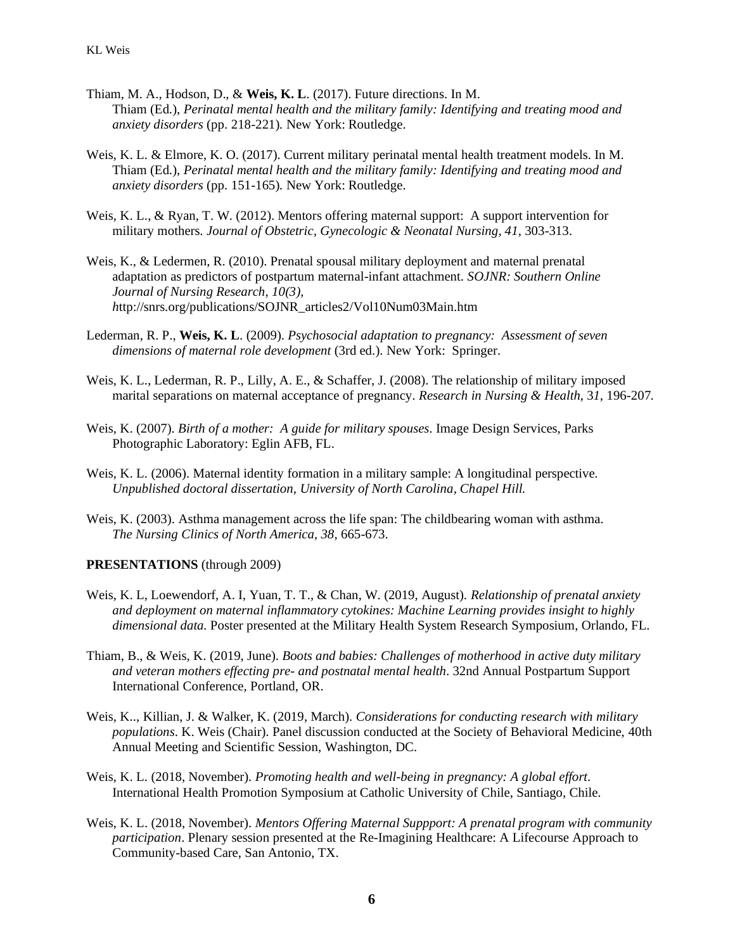- Thiam, M. A., Hodson, D., & **Weis, K. L**. (2017). Future directions. In M. Thiam (Ed.), *Perinatal mental health and the military family: Identifying and treating mood and anxiety disorders* (pp. 218-221)*.* New York: Routledge.
- Weis, K. L. & Elmore, K. O. (2017). Current military perinatal mental health treatment models. In M. Thiam (Ed.), *Perinatal mental health and the military family: Identifying and treating mood and anxiety disorders* (pp. 151-165)*.* New York: Routledge.
- Weis, K. L., & Ryan, T. W. (2012). Mentors offering maternal support: A support intervention for military mothers. *Journal of Obstetric, Gynecologic & Neonatal Nursing, 41,* 303-313.
- Weis, K., & Ledermen, R. (2010). Prenatal spousal military deployment and maternal prenatal adaptation as predictors of postpartum maternal-infant attachment. *SOJNR: Southern Online Journal of Nursing Research, 10(3), h*ttp://snrs.org/publications/SOJNR\_articles2/Vol10Num03Main.htm
- Lederman, R. P., **Weis, K. L**. (2009). *Psychosocial adaptation to pregnancy: Assessment of seven dimensions of maternal role development* (3rd ed.). New York: Springer.
- Weis, K. L., Lederman, R. P., Lilly, A. E., & Schaffer, J. (2008). The relationship of military imposed marital separations on maternal acceptance of pregnancy*. Research in Nursing & Health*, 3*1,* 196-207*.*
- Weis, K. (2007). *Birth of a mother: A guide for military spouses*. Image Design Services, Parks Photographic Laboratory: Eglin AFB, FL.
- Weis, K. L. (2006). Maternal identity formation in a military sample: A longitudinal perspective*. Unpublished doctoral dissertation, University of North Carolina, Chapel Hill.*
- Weis, K. (2003). Asthma management across the life span: The childbearing woman with asthma. *The Nursing Clinics of North America, 38,* 665-673.

#### **PRESENTATIONS** (through 2009)

- Weis, K. L, Loewendorf, A. I, Yuan, T. T., & Chan, W. (2019, August). *Relationship of prenatal anxiety and deployment on maternal inflammatory cytokines: Machine Learning provides insight to highly dimensional data.* Poster presented at the Military Health System Research Symposium, Orlando, FL.
- Thiam, B., & Weis, K. (2019, June). *Boots and babies: Challenges of motherhood in active duty military and veteran mothers effecting pre- and postnatal mental health*. 32nd Annual Postpartum Support International Conference, Portland, OR.
- Weis, K.., Killian, J. & Walker, K. (2019, March). *Considerations for conducting research with military populations*. K. Weis (Chair). Panel discussion conducted at the Society of Behavioral Medicine, 40th Annual Meeting and Scientific Session, Washington, DC.
- Weis, K. L. (2018, November). *Promoting health and well-being in pregnancy: A global effort*. International Health Promotion Symposium at Catholic University of Chile, Santiago, Chile.
- Weis, K. L. (2018, November). *Mentors Offering Maternal Suppport: A prenatal program with community participation*. Plenary session presented at the Re-Imagining Healthcare: A Lifecourse Approach to Community-based Care, San Antonio, TX.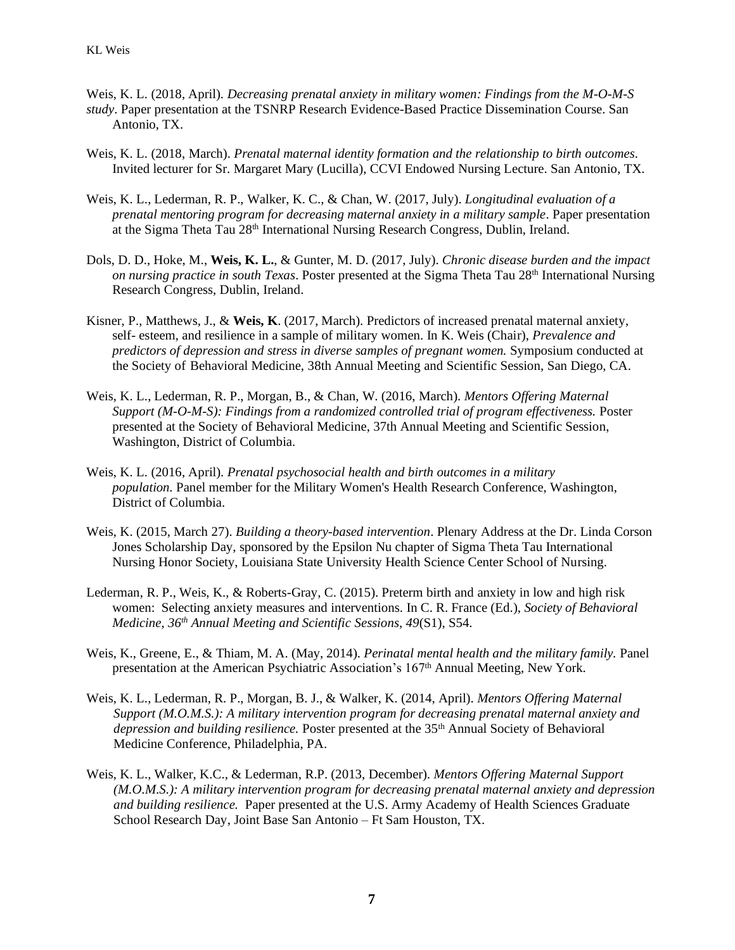- Weis, K. L. (2018, April). *Decreasing prenatal anxiety in military women: Findings from the M-O-M-S study*. Paper presentation at the TSNRP Research Evidence-Based Practice Dissemination Course. San Antonio, TX.
- Weis, K. L. (2018, March). *Prenatal maternal identity formation and the relationship to birth outcomes*. Invited lecturer for Sr. Margaret Mary (Lucilla), CCVI Endowed Nursing Lecture. San Antonio, TX.
- Weis, K. L., Lederman, R. P., Walker, K. C., & Chan, W. (2017, July). *Longitudinal evaluation of a prenatal mentoring program for decreasing maternal anxiety in a military sample*. Paper presentation at the Sigma Theta Tau 28<sup>th</sup> International Nursing Research Congress, Dublin, Ireland.
- Dols, D. D., Hoke, M., **Weis, K. L.**, & Gunter, M. D. (2017, July). *Chronic disease burden and the impact on nursing practice in south Texas.* Poster presented at the Sigma Theta Tau 28<sup>th</sup> International Nursing Research Congress, Dublin, Ireland.
- Kisner, P., Matthews, J., & **Weis, K**. (2017, March). Predictors of increased prenatal maternal anxiety, self- esteem, and resilience in a sample of military women. In K. Weis (Chair), *Prevalence and predictors of depression and stress in diverse samples of pregnant women.* Symposium conducted at the Society of Behavioral Medicine, 38th Annual Meeting and Scientific Session, San Diego, CA.
- Weis, K. L., Lederman, R. P., Morgan, B., & Chan, W. (2016, March). *Mentors Offering Maternal Support (M-O-M-S): Findings from a randomized controlled trial of program effectiveness.* Poster presented at the Society of Behavioral Medicine, 37th Annual Meeting and Scientific Session, Washington, District of Columbia.
- Weis, K. L. (2016, April). *Prenatal psychosocial health and birth outcomes in a military population.* Panel member for the Military Women's Health Research Conference, Washington, District of Columbia.
- Weis, K. (2015, March 27). *Building a theory-based intervention*. Plenary Address at the Dr. Linda Corson Jones Scholarship Day, sponsored by the Epsilon Nu chapter of Sigma Theta Tau International Nursing Honor Society, Louisiana State University Health Science Center School of Nursing.
- Lederman, R. P., Weis, K., & Roberts-Gray, C. (2015). Preterm birth and anxiety in low and high risk women: Selecting anxiety measures and interventions. In C. R. France (Ed.), *Society of Behavioral Medicine, 36th Annual Meeting and Scientific Sessions, 49*(S1), S54.
- Weis, K., Greene, E., & Thiam, M. A. (May, 2014). *Perinatal mental health and the military family.* Panel presentation at the American Psychiatric Association's 167th Annual Meeting, New York.
- Weis, K. L., Lederman, R. P., Morgan, B. J., & Walker, K. (2014, April). *Mentors Offering Maternal Support (M.O.M.S.): A military intervention program for decreasing prenatal maternal anxiety and depression and building resilience.* Poster presented at the 35th Annual Society of Behavioral Medicine Conference, Philadelphia, PA.
- Weis, K. L., Walker, K.C., & Lederman, R.P. (2013, December). *Mentors Offering Maternal Support (M.O.M.S.): A military intervention program for decreasing prenatal maternal anxiety and depression and building resilience.* Paper presented at the U.S. Army Academy of Health Sciences Graduate School Research Day, Joint Base San Antonio – Ft Sam Houston, TX.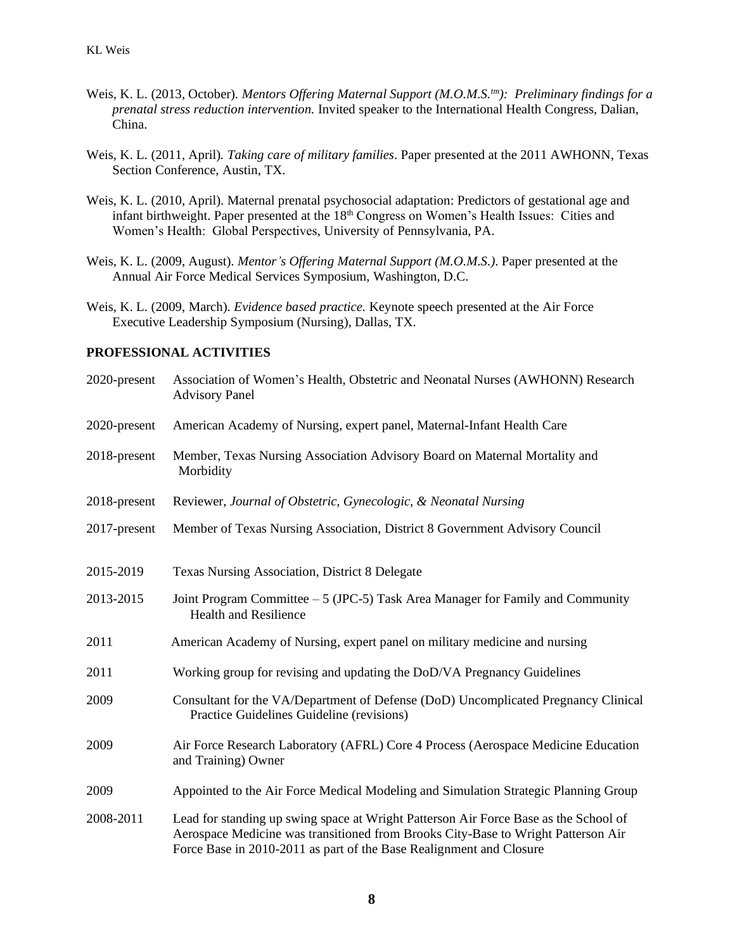- Weis, K. L. (2013, October). *Mentors Offering Maternal Support (M.O.M.S.tm): Preliminary findings for a prenatal stress reduction intervention.* Invited speaker to the International Health Congress, Dalian, China.
- Weis, K. L*.* (2011, April)*. Taking care of military families*. Paper presented at the 2011 AWHONN, Texas Section Conference, Austin, TX.
- Weis, K. L. (2010, April). Maternal prenatal psychosocial adaptation: Predictors of gestational age and infant birthweight. Paper presented at the 18<sup>th</sup> Congress on Women's Health Issues: Cities and Women's Health: Global Perspectives, University of Pennsylvania, PA.
- Weis, K. L. (2009, August). *Mentor's Offering Maternal Support (M.O.M.S.)*. Paper presented at the Annual Air Force Medical Services Symposium, Washington, D.C.
- Weis, K. L. (2009, March). *Evidence based practice.* Keynote speech presented at the Air Force Executive Leadership Symposium (Nursing), Dallas, TX.

## **PROFESSIONAL ACTIVITIES**

| 2020-present | Association of Women's Health, Obstetric and Neonatal Nurses (AWHONN) Research<br><b>Advisory Panel</b>                                                                                                                                          |
|--------------|--------------------------------------------------------------------------------------------------------------------------------------------------------------------------------------------------------------------------------------------------|
| 2020-present | American Academy of Nursing, expert panel, Maternal-Infant Health Care                                                                                                                                                                           |
| 2018-present | Member, Texas Nursing Association Advisory Board on Maternal Mortality and<br>Morbidity                                                                                                                                                          |
| 2018-present | Reviewer, Journal of Obstetric, Gynecologic, & Neonatal Nursing                                                                                                                                                                                  |
| 2017-present | Member of Texas Nursing Association, District 8 Government Advisory Council                                                                                                                                                                      |
| 2015-2019    | <b>Texas Nursing Association, District 8 Delegate</b>                                                                                                                                                                                            |
| 2013-2015    | Joint Program Committee - 5 (JPC-5) Task Area Manager for Family and Community<br><b>Health and Resilience</b>                                                                                                                                   |
| 2011         | American Academy of Nursing, expert panel on military medicine and nursing                                                                                                                                                                       |
| 2011         | Working group for revising and updating the DoD/VA Pregnancy Guidelines                                                                                                                                                                          |
| 2009         | Consultant for the VA/Department of Defense (DoD) Uncomplicated Pregnancy Clinical<br>Practice Guidelines Guideline (revisions)                                                                                                                  |
| 2009         | Air Force Research Laboratory (AFRL) Core 4 Process (Aerospace Medicine Education<br>and Training) Owner                                                                                                                                         |
| 2009         | Appointed to the Air Force Medical Modeling and Simulation Strategic Planning Group                                                                                                                                                              |
| 2008-2011    | Lead for standing up swing space at Wright Patterson Air Force Base as the School of<br>Aerospace Medicine was transitioned from Brooks City-Base to Wright Patterson Air<br>Force Base in 2010-2011 as part of the Base Realignment and Closure |